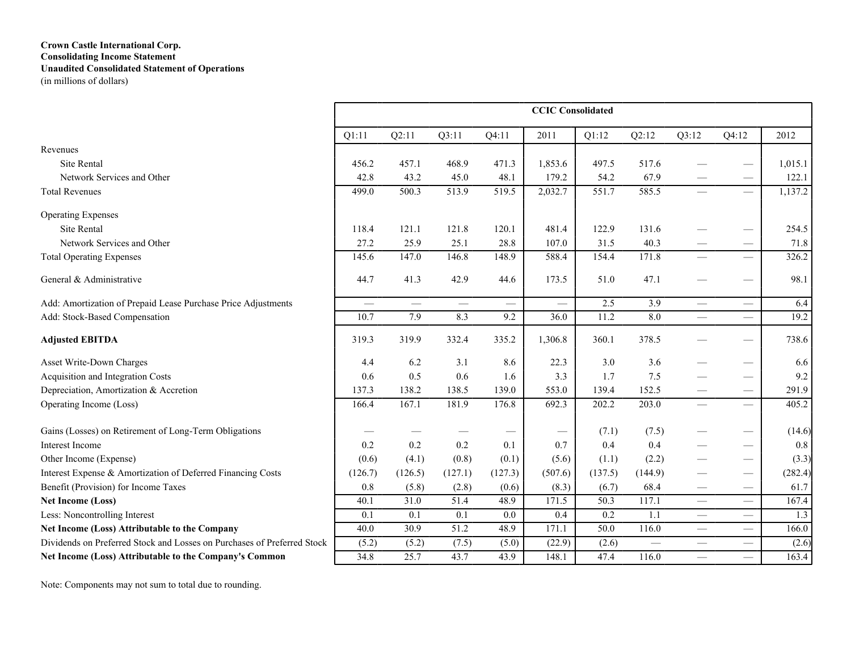# **Crown Castle International Corp. Consolidating Income Statement Unaudited Consolidated Statement of Operations**

(in millions of dollars)

|                                                                         |                          |         |                   |          | <b>CCIC</b> Consolidated |         |                 |                                  |                                 |                    |
|-------------------------------------------------------------------------|--------------------------|---------|-------------------|----------|--------------------------|---------|-----------------|----------------------------------|---------------------------------|--------------------|
|                                                                         | Q1:11                    | Q2:11   | Q3:11             | Q4:11    | 2011                     | Q1:12   | Q2:12           | Q3:12                            | Q4:12                           | 2012               |
| Revenues                                                                |                          |         |                   |          |                          |         |                 |                                  |                                 |                    |
| <b>Site Rental</b>                                                      | 456.2                    | 457.1   | 468.9             | 471.3    | 1,853.6                  | 497.5   | 517.6           |                                  |                                 | 1,015.1            |
| Network Services and Other                                              | 42.8                     | 43.2    | 45.0              | 48.1     | 179.2                    | 54.2    | 67.9            |                                  |                                 | 122.1              |
| <b>Total Revenues</b>                                                   | 499.0                    | 500.3   | 513.9             | 519.5    | 2,032.7                  | 551.7   | 585.5           | $\qquad \qquad$                  | $\equiv$                        | 1,137.2            |
| <b>Operating Expenses</b>                                               |                          |         |                   |          |                          |         |                 |                                  |                                 |                    |
| <b>Site Rental</b>                                                      | 118.4                    | 121.1   | 121.8             | 120.1    | 481.4                    | 122.9   | 131.6           |                                  |                                 | 254.5              |
| Network Services and Other                                              | 27.2                     | 25.9    | 25.1              | 28.8     | 107.0                    | 31.5    | 40.3            |                                  | $\hspace{0.05cm}$               | 71.8               |
| <b>Total Operating Expenses</b>                                         | 145.6                    | 147.0   | 146.8             | 148.9    | 588.4                    | 154.4   | 171.8           | $\overline{\phantom{0}}$         | $\overline{\phantom{0}}$        | $\overline{326.2}$ |
| General & Administrative                                                | 44.7                     | 41.3    | 42.9              | 44.6     | 173.5                    | 51.0    | 47.1            |                                  | $\hspace{0.1mm}-\hspace{0.1mm}$ | 98.1               |
| Add: Amortization of Prepaid Lease Purchase Price Adjustments           | $\overline{\phantom{0}}$ |         | $\equiv$          | $\equiv$ | $\overline{\phantom{0}}$ | 2.5     | 3.9             | $\overline{\phantom{0}}$         | $\equiv$                        | 6.4                |
| Add: Stock-Based Compensation                                           | 10.7                     | 7.9     | 8.3               | 9.2      | 36.0                     | 11.2    | 8.0             | $\equiv$                         |                                 | 19.2               |
| <b>Adjusted EBITDA</b>                                                  | 319.3                    | 319.9   | 332.4             | 335.2    | 1,306.8                  | 360.1   | 378.5           |                                  |                                 | 738.6              |
| Asset Write-Down Charges                                                | 4.4                      | 6.2     | 3.1               | 8.6      | 22.3                     | 3.0     | 3.6             |                                  | $\hspace{0.1mm}-\hspace{0.1mm}$ | 6.6                |
| Acquisition and Integration Costs                                       | 0.6                      | 0.5     | 0.6               | 1.6      | 3.3                      | 1.7     | 7.5             |                                  | $\overline{\phantom{m}}$        | 9.2                |
| Depreciation, Amortization & Accretion                                  | 137.3                    | 138.2   | 138.5             | 139.0    | 553.0                    | 139.4   | 152.5           |                                  | $\hspace{0.1mm}-\hspace{0.1mm}$ | 291.9              |
| Operating Income (Loss)                                                 | 166.4                    | 167.1   | 181.9             | 176.8    | 692.3                    | 202.2   | 203.0           | $\overline{\phantom{0}}$         |                                 | 405.2              |
| Gains (Losses) on Retirement of Long-Term Obligations                   |                          |         |                   |          |                          | (7.1)   | (7.5)           |                                  |                                 | (14.6)             |
| <b>Interest Income</b>                                                  | 0.2                      | 0.2     | 0.2               | 0.1      | 0.7                      | 0.4     | 0.4             |                                  |                                 | 0.8                |
| Other Income (Expense)                                                  | (0.6)                    | (4.1)   | (0.8)             | (0.1)    | (5.6)                    | (1.1)   | (2.2)           |                                  | $\hspace{0.1mm}-\hspace{0.1mm}$ | (3.3)              |
| Interest Expense & Amortization of Deferred Financing Costs             | (126.7)                  | (126.5) | (127.1)           | (127.3)  | (507.6)                  | (137.5) | (144.9)         |                                  |                                 | (282.4)            |
| Benefit (Provision) for Income Taxes                                    | 0.8                      | (5.8)   | (2.8)             | (0.6)    | (8.3)                    | (6.7)   | 68.4            |                                  | $\hspace{0.1mm}-\hspace{0.1mm}$ | 61.7               |
| <b>Net Income (Loss)</b>                                                | 40.1                     | 31.0    | 51.4              | 48.9     | 171.5                    | 50.3    | 117.1           | $\hspace{0.05cm}$                | $\equiv$                        | 167.4              |
| Less: Noncontrolling Interest                                           | 0.1                      | 0.1     | 0.1               | 0.0      | 0.4                      | 0.2     | 1.1             |                                  | $\equiv$                        | 1.3                |
| Net Income (Loss) Attributable to the Company                           | 40.0                     | 30.9    | $\overline{51.2}$ | 48.9     | 171.1                    | 50.0    | 116.0           | $\overbrace{\phantom{12322111}}$ |                                 | 166.0              |
| Dividends on Preferred Stock and Losses on Purchases of Preferred Stock | (5.2)                    | (5.2)   | (7.5)             | (5.0)    | (22.9)                   | (2.6)   | $\qquad \qquad$ | $\qquad \qquad$                  | $\equiv$                        | (2.6)              |
| Net Income (Loss) Attributable to the Company's Common                  | 34.8                     | 25.7    | 43.7              | 43.9     | 148.1                    | 47.4    | 116.0           | $\qquad \qquad$                  |                                 | $\overline{163.4}$ |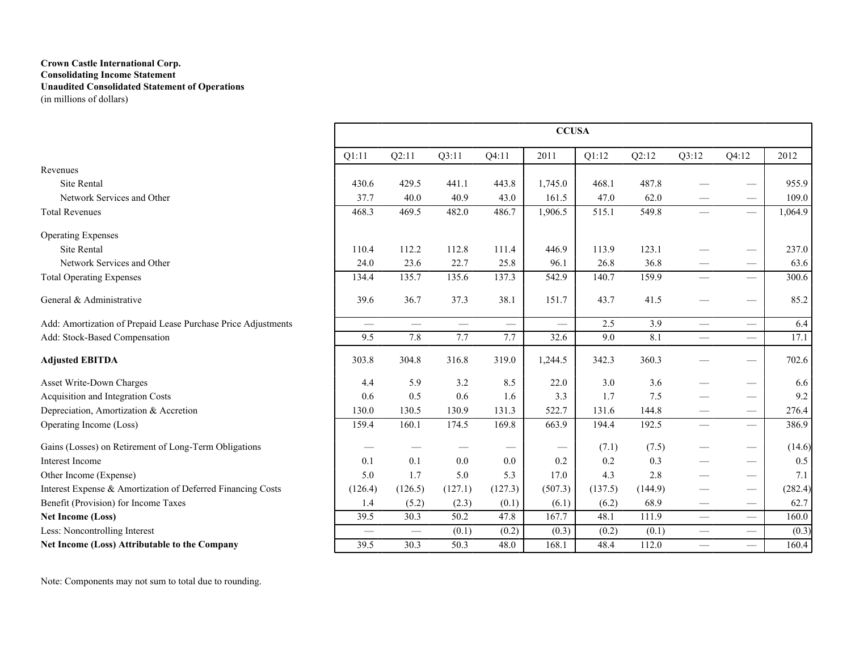## **Crown Castle International Corp. Consolidating Income Statement Unaudited Consolidated Statement of Operations** (in millions of dollars)

|                                                               |                          |                 |         |          | <b>CCUSA</b> |         |         |                               |                                 |         |
|---------------------------------------------------------------|--------------------------|-----------------|---------|----------|--------------|---------|---------|-------------------------------|---------------------------------|---------|
|                                                               | Q1:11                    | Q2:11           | Q3:11   | Q4:11    | 2011         | Q1:12   | Q2:12   | Q3:12                         | Q4:12                           | 2012    |
| Revenues                                                      |                          |                 |         |          |              |         |         |                               |                                 |         |
| <b>Site Rental</b>                                            | 430.6                    | 429.5           | 441.1   | 443.8    | 1,745.0      | 468.1   | 487.8   |                               |                                 | 955.9   |
| Network Services and Other                                    | 37.7                     | 40.0            | 40.9    | 43.0     | 161.5        | 47.0    | 62.0    |                               |                                 | 109.0   |
| <b>Total Revenues</b>                                         | 468.3                    | 469.5           | 482.0   | 486.7    | 1,906.5      | 515.1   | 549.8   |                               | $\qquad \qquad$                 | 1,064.9 |
| <b>Operating Expenses</b>                                     |                          |                 |         |          |              |         |         |                               |                                 |         |
| <b>Site Rental</b>                                            | 110.4                    | 112.2           | 112.8   | 111.4    | 446.9        | 113.9   | 123.1   |                               |                                 | 237.0   |
| Network Services and Other                                    | 24.0                     | 23.6            | 22.7    | 25.8     | 96.1         | 26.8    | 36.8    |                               |                                 | 63.6    |
| <b>Total Operating Expenses</b>                               | 134.4                    | 135.7           | 135.6   | 137.3    | 542.9        | 140.7   | 159.9   |                               | $\overline{\phantom{0}}$        | 300.6   |
| General & Administrative                                      | 39.6                     | 36.7            | 37.3    | 38.1     | 151.7        | 43.7    | 41.5    |                               |                                 | 85.2    |
| Add: Amortization of Prepaid Lease Purchase Price Adjustments | $\overline{\phantom{0}}$ | $\qquad \qquad$ |         | $\equiv$ | $\equiv$     | 2.5     | 3.9     | $\qquad \qquad$               | $\qquad \qquad$                 | 6.4     |
| Add: Stock-Based Compensation                                 | 9.5                      | 7.8             | 7.7     | 7.7      | 32.6         | 9.0     | 8.1     |                               | $\overline{\phantom{0}}$        | 17.1    |
| <b>Adjusted EBITDA</b>                                        | 303.8                    | 304.8           | 316.8   | 319.0    | 1,244.5      | 342.3   | 360.3   |                               |                                 | 702.6   |
| Asset Write-Down Charges                                      | 4.4                      | 5.9             | 3.2     | 8.5      | 22.0         | 3.0     | 3.6     |                               | $\hspace{0.05cm}$               | 6.6     |
| Acquisition and Integration Costs                             | 0.6                      | 0.5             | 0.6     | 1.6      | 3.3          | 1.7     | 7.5     |                               |                                 | 9.2     |
| Depreciation, Amortization & Accretion                        | 130.0                    | 130.5           | 130.9   | 131.3    | 522.7        | 131.6   | 144.8   |                               |                                 | 276.4   |
| Operating Income (Loss)                                       | 159.4                    | 160.1           | 174.5   | 169.8    | 663.9        | 194.4   | 192.5   |                               |                                 | 386.9   |
| Gains (Losses) on Retirement of Long-Term Obligations         |                          |                 |         |          |              | (7.1)   | (7.5)   |                               | $\hspace{0.1mm}-\hspace{0.1mm}$ | (14.6)  |
| Interest Income                                               | 0.1                      | 0.1             | 0.0     | 0.0      | 0.2          | 0.2     | 0.3     |                               |                                 | 0.5     |
| Other Income (Expense)                                        | 5.0                      | 1.7             | 5.0     | 5.3      | 17.0         | 4.3     | 2.8     |                               | $\hspace{0.05cm}$               | 7.1     |
| Interest Expense & Amortization of Deferred Financing Costs   | (126.4)                  | (126.5)         | (127.1) | (127.3)  | (507.3)      | (137.5) | (144.9) |                               | $\hspace{0.05cm}$               | (282.4) |
| Benefit (Provision) for Income Taxes                          | 1.4                      | (5.2)           | (2.3)   | (0.1)    | (6.1)        | (6.2)   | 68.9    |                               | $\hspace{0.05cm}$               | 62.7    |
| <b>Net Income (Loss)</b>                                      | 39.5                     | 30.3            | 50.2    | 47.8     | 167.7        | 48.1    | 111.9   | $\overbrace{\phantom{12333}}$ | $\overbrace{\phantom{12333}}$   | 160.0   |
| Less: Noncontrolling Interest                                 | $\overline{\phantom{0}}$ |                 | (0.1)   | (0.2)    | (0.3)        | (0.2)   | (0.1)   | $\qquad \qquad$               |                                 | (0.3)   |
| Net Income (Loss) Attributable to the Company                 | 39.5                     | 30.3            | 50.3    | 48.0     | 168.1        | 48.4    | 112.0   | $\equiv$                      | $\overline{\phantom{0}}$        | 160.4   |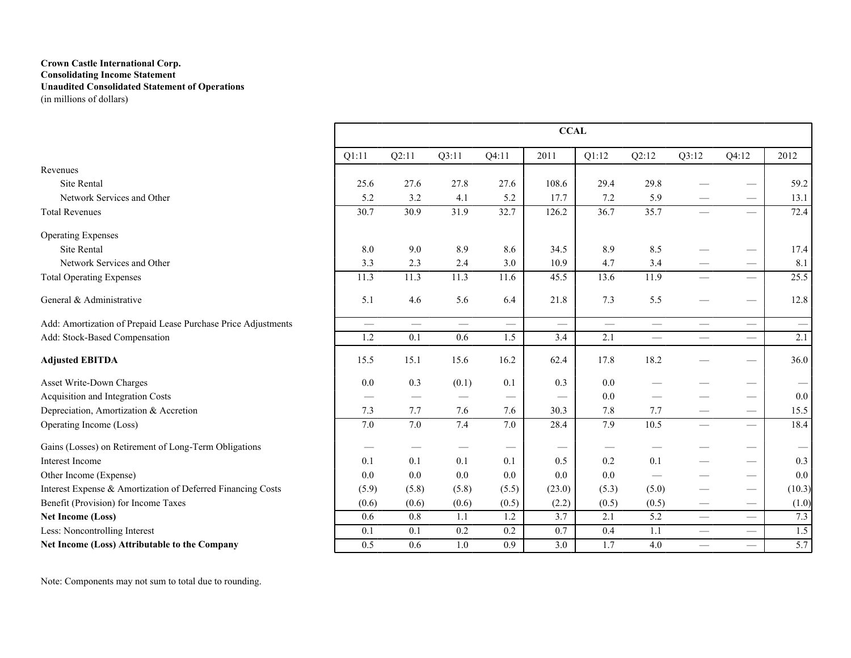## **Crown Castle International Corp. Consolidating Income Statement Unaudited Consolidated Statement of Operations** (in millions of dollars)

|                                                               |                 |                               |                  |                                 | <b>CCAL</b>                     |                 |                 |                             |                                 |                                 |
|---------------------------------------------------------------|-----------------|-------------------------------|------------------|---------------------------------|---------------------------------|-----------------|-----------------|-----------------------------|---------------------------------|---------------------------------|
|                                                               | Q1:11           | Q2:11                         | Q3:11            | Q4:11                           | 2011                            | Q1:12           | Q2:12           | Q3:12                       | Q4:12                           | 2012                            |
| Revenues                                                      |                 |                               |                  |                                 |                                 |                 |                 |                             |                                 |                                 |
| <b>Site Rental</b>                                            | 25.6            | 27.6                          | 27.8             | 27.6                            | 108.6                           | 29.4            | 29.8            |                             |                                 | 59.2                            |
| Network Services and Other                                    | 5.2             | 3.2                           | 4.1              | 5.2                             | 17.7                            | 7.2             | 5.9             |                             | $\hspace{0.1mm}-\hspace{0.1mm}$ | 13.1                            |
| <b>Total Revenues</b>                                         | 30.7            | 30.9                          | 31.9             | 32.7                            | 126.2                           | 36.7            | 35.7            |                             |                                 | 72.4                            |
| <b>Operating Expenses</b>                                     |                 |                               |                  |                                 |                                 |                 |                 |                             |                                 |                                 |
| <b>Site Rental</b>                                            | 8.0             | 9.0                           | 8.9              | 8.6                             | 34.5                            | 8.9             | 8.5             |                             | $\hspace{0.05cm}$               | 17.4                            |
| Network Services and Other                                    | 3.3             | 2.3                           | 2.4              | 3.0                             | 10.9                            | 4.7             | 3.4             |                             |                                 | 8.1                             |
| <b>Total Operating Expenses</b>                               | 11.3            | 11.3                          | 11.3             | 11.6                            | 45.5                            | 13.6            | 11.9            |                             | $\overline{\phantom{0}}$        | 25.5                            |
| General & Administrative                                      | 5.1             | 4.6                           | 5.6              | 6.4                             | 21.8                            | 7.3             | 5.5             |                             |                                 | 12.8                            |
| Add: Amortization of Prepaid Lease Purchase Price Adjustments | $\qquad \qquad$ | $\qquad \qquad$               | $\qquad \qquad$  | $\overline{\phantom{m}}$        | $\overline{\phantom{m}}$        | $\qquad \qquad$ | $\qquad \qquad$ | $\qquad \qquad$             | $\qquad \qquad$                 | $\hspace{0.1mm}-\hspace{0.1mm}$ |
| Add: Stock-Based Compensation                                 | 1.2             | 0.1                           | 0.6              | 1.5                             | 3.4                             | 2.1             |                 |                             |                                 | 2.1                             |
| <b>Adjusted EBITDA</b>                                        | 15.5            | 15.1                          | 15.6             | 16.2                            | 62.4                            | 17.8            | 18.2            |                             | $\hspace{0.05cm}$               | 36.0                            |
| Asset Write-Down Charges                                      | 0.0             | 0.3                           | (0.1)            | 0.1                             | 0.3                             | 0.0             |                 |                             | $\hspace{0.05cm}$               |                                 |
| Acquisition and Integration Costs                             |                 | $\overbrace{\phantom{12332}}$ |                  | $\hspace{0.05cm}$               |                                 | 0.0             |                 |                             | $\overbrace{\phantom{12333}}$   | 0.0                             |
| Depreciation, Amortization & Accretion                        | 7.3             | 7.7                           | 7.6              | 7.6                             | 30.3                            | 7.8             | 7.7             |                             | $\hspace{0.05cm}$               | 15.5                            |
| Operating Income (Loss)                                       | 7.0             | 7.0                           | 7.4              | 7.0                             | 28.4                            | 7.9             | 10.5            | $\qquad \qquad$             | $\equiv$                        | 18.4                            |
| Gains (Losses) on Retirement of Long-Term Obligations         |                 |                               |                  | $\hspace{0.1mm}-\hspace{0.1mm}$ | $\hspace{0.1mm}-\hspace{0.1mm}$ |                 |                 |                             | $\hspace{0.05cm}$               |                                 |
| Interest Income                                               | 0.1             | 0.1                           | 0.1              | 0.1                             | 0.5                             | 0.2             | 0.1             |                             |                                 | 0.3                             |
| Other Income (Expense)                                        | 0.0             | 0.0                           | 0.0              | 0.0                             | 0.0                             | 0.0             |                 |                             | $\hspace{0.05cm}$               | 0.0                             |
| Interest Expense & Amortization of Deferred Financing Costs   | (5.9)           | (5.8)                         | (5.8)            | (5.5)                           | (23.0)                          | (5.3)           | (5.0)           |                             | $\hspace{0.05cm}$               | (10.3)                          |
| Benefit (Provision) for Income Taxes                          | (0.6)           | (0.6)                         | (0.6)            | (0.5)                           | (2.2)                           | (0.5)           | (0.5)           | $\overbrace{\hspace{15em}}$ | $\hspace{0.05cm}$               | (1.0)                           |
| <b>Net Income (Loss)</b>                                      | 0.6             | 0.8                           | 1.1              | 1.2                             | 3.7                             | 2.1             | 5.2             |                             | $\overbrace{\phantom{12333}}$   | 7.3                             |
| Less: Noncontrolling Interest                                 | 0.1             | $\overline{0.1}$              | $\overline{0.2}$ | 0.2                             | $\overline{0.7}$                | 0.4             | 1.1             | $\overline{\phantom{0}}$    | $\overline{\phantom{0}}$        | 1.5                             |
| Net Income (Loss) Attributable to the Company                 | 0.5             | 0.6                           | 1.0              | 0.9                             | 3.0                             | 1.7             | 4.0             | $\equiv$                    | $\equiv$                        | 5.7                             |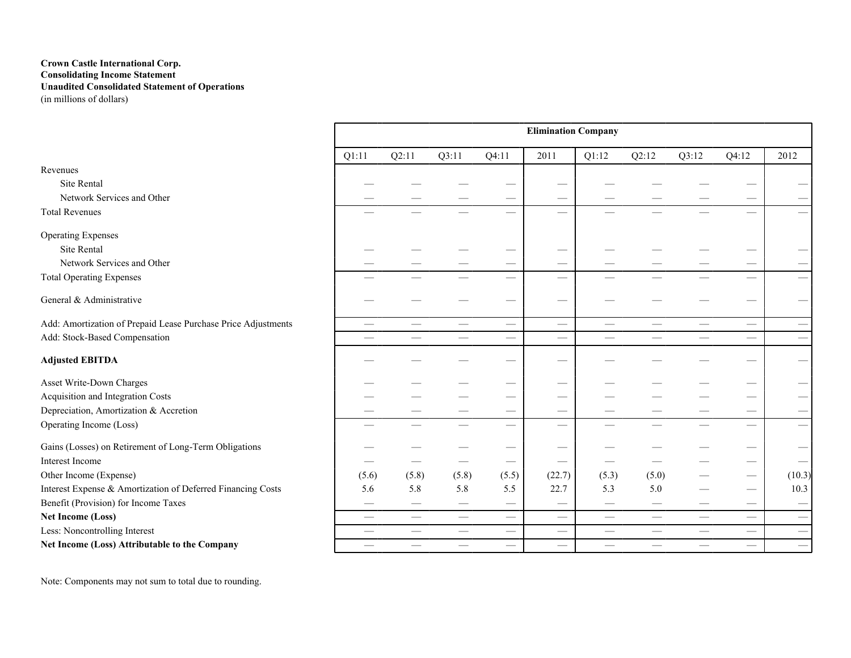## **Crown Castle International Corp. Consolidating Income Statement Unaudited Consolidated Statement of Operations** (in millions of dollars)

|                                                               |                          |                               |                             |                             | <b>Elimination Company</b>  |                          |                                 |       |                                 |                                 |
|---------------------------------------------------------------|--------------------------|-------------------------------|-----------------------------|-----------------------------|-----------------------------|--------------------------|---------------------------------|-------|---------------------------------|---------------------------------|
|                                                               | Q1:11                    | Q2:11                         | Q3:11                       | Q4:11                       | 2011                        | Q1:12                    | Q2:12                           | Q3:12 | Q4:12                           | 2012                            |
| Revenues                                                      |                          |                               |                             |                             |                             |                          |                                 |       |                                 |                                 |
| <b>Site Rental</b>                                            |                          |                               |                             |                             |                             |                          |                                 |       |                                 |                                 |
| Network Services and Other                                    |                          |                               |                             |                             |                             |                          |                                 |       |                                 |                                 |
| <b>Total Revenues</b>                                         |                          |                               |                             |                             |                             |                          |                                 |       | $\overline{\phantom{0}}$        |                                 |
| <b>Operating Expenses</b>                                     |                          |                               |                             |                             |                             |                          |                                 |       |                                 |                                 |
| Site Rental                                                   |                          |                               |                             |                             |                             |                          |                                 |       |                                 |                                 |
| Network Services and Other                                    |                          |                               |                             |                             |                             |                          |                                 |       |                                 |                                 |
| <b>Total Operating Expenses</b>                               |                          |                               |                             |                             |                             |                          |                                 |       | $\overline{\phantom{0}}$        |                                 |
| General & Administrative                                      |                          |                               |                             |                             |                             |                          |                                 |       |                                 |                                 |
| Add: Amortization of Prepaid Lease Purchase Price Adjustments | $\overline{\phantom{0}}$ | $\overline{\phantom{0}}$      |                             |                             |                             |                          | $\overline{\phantom{0}}$        | —     | $\overline{\phantom{0}}$        |                                 |
| Add: Stock-Based Compensation                                 | $\overline{\phantom{0}}$ | $\overbrace{\phantom{aaaaa}}$ |                             |                             |                             |                          | $\overbrace{\phantom{12333}}$   |       | $\overbrace{\qquad \qquad }^{}$ | $\overline{\phantom{0}}$        |
| <b>Adjusted EBITDA</b>                                        |                          |                               |                             |                             |                             |                          |                                 |       |                                 |                                 |
| Asset Write-Down Charges                                      |                          |                               |                             |                             |                             |                          |                                 |       |                                 |                                 |
| Acquisition and Integration Costs                             |                          |                               |                             | –                           |                             |                          |                                 |       |                                 |                                 |
| Depreciation, Amortization & Accretion                        |                          |                               |                             |                             |                             |                          |                                 |       |                                 |                                 |
| Operating Income (Loss)                                       | $\overline{\phantom{0}}$ |                               |                             |                             |                             | $\overline{\phantom{0}}$ | $\overline{\phantom{0}}$        |       | $\overline{\phantom{0}}$        |                                 |
| Gains (Losses) on Retirement of Long-Term Obligations         |                          |                               |                             |                             |                             |                          |                                 |       |                                 |                                 |
| Interest Income                                               |                          |                               |                             |                             |                             |                          |                                 |       |                                 |                                 |
| Other Income (Expense)                                        | (5.6)                    | (5.8)                         | (5.8)                       | (5.5)                       | (22.7)                      | (5.3)                    | (5.0)                           |       | —                               | (10.3)                          |
| Interest Expense & Amortization of Deferred Financing Costs   | 5.6                      | 5.8                           | 5.8                         | 5.5                         | 22.7                        | 5.3                      | 5.0                             |       |                                 | 10.3                            |
| Benefit (Provision) for Income Taxes                          |                          | —                             |                             |                             |                             |                          |                                 |       | —                               |                                 |
| <b>Net Income (Loss)</b>                                      | $\overline{\phantom{0}}$ | $\overbrace{\phantom{13333}}$ |                             | $\overbrace{\hspace{15em}}$ |                             |                          | $\hspace{0.1mm}-\hspace{0.1mm}$ |       |                                 |                                 |
| Less: Noncontrolling Interest                                 | $\overline{\phantom{0}}$ |                               |                             | $\qquad \qquad$             | $\qquad \qquad$             | $\hspace{0.05cm}$        |                                 | --    | $\overline{\phantom{0}}$        | $\hspace{0.1mm}-\hspace{0.1mm}$ |
| Net Income (Loss) Attributable to the Company                 |                          | $\overbrace{\phantom{aaaaa}}$ | $\overbrace{\hspace{15em}}$ | $\qquad \qquad$             | $\overbrace{\hspace{15em}}$ | $\hspace{0.05cm}$        | $\hspace{0.05cm}$               | -     | $\overline{\phantom{0}}$        | $\qquad \qquad$                 |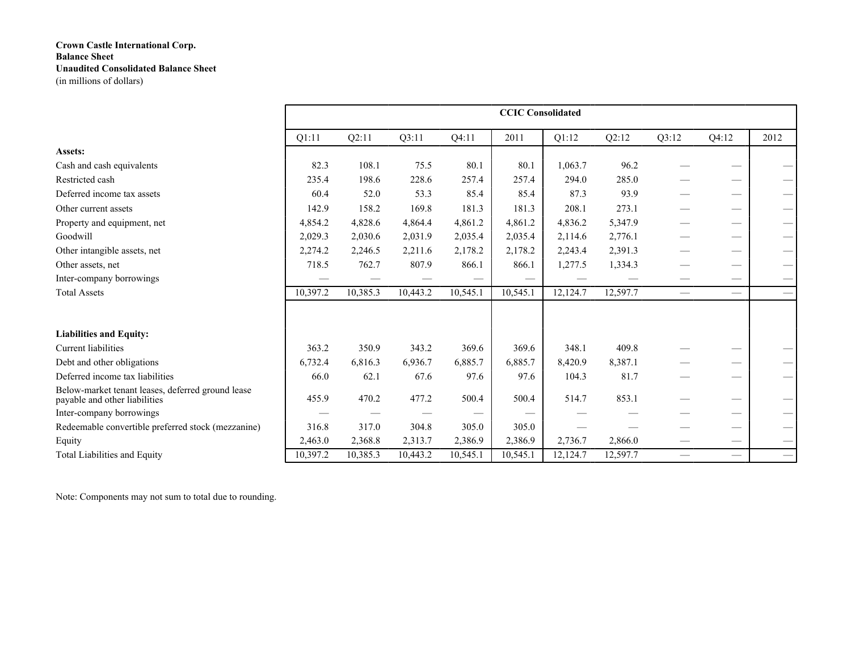|                                                                                    |          |          |          |          | <b>CCIC Consolidated</b> |          |          |                 |                          |                                 |
|------------------------------------------------------------------------------------|----------|----------|----------|----------|--------------------------|----------|----------|-----------------|--------------------------|---------------------------------|
|                                                                                    | Q1:11    | Q2:11    | Q3:11    | Q4:11    | 2011                     | Q1:12    | Q2:12    | Q3:12           | Q4:12                    | 2012                            |
| Assets:                                                                            |          |          |          |          |                          |          |          |                 |                          |                                 |
| Cash and cash equivalents                                                          | 82.3     | 108.1    | 75.5     | 80.1     | 80.1                     | 1,063.7  | 96.2     |                 |                          |                                 |
| Restricted cash                                                                    | 235.4    | 198.6    | 228.6    | 257.4    | 257.4                    | 294.0    | 285.0    |                 |                          |                                 |
| Deferred income tax assets                                                         | 60.4     | 52.0     | 53.3     | 85.4     | 85.4                     | 87.3     | 93.9     |                 |                          |                                 |
| Other current assets                                                               | 142.9    | 158.2    | 169.8    | 181.3    | 181.3                    | 208.1    | 273.1    |                 |                          | $\qquad \qquad$                 |
| Property and equipment, net                                                        | 4,854.2  | 4,828.6  | 4,864.4  | 4,861.2  | 4,861.2                  | 4,836.2  | 5,347.9  |                 |                          | $\hspace{0.1mm}-\hspace{0.1mm}$ |
| Goodwill                                                                           | 2,029.3  | 2,030.6  | 2,031.9  | 2,035.4  | 2,035.4                  | 2,114.6  | 2,776.1  |                 |                          | $\qquad \qquad$                 |
| Other intangible assets, net                                                       | 2,274.2  | 2,246.5  | 2,211.6  | 2,178.2  | 2,178.2                  | 2,243.4  | 2,391.3  |                 | __                       | $\hspace{0.1mm}-\hspace{0.1mm}$ |
| Other assets, net                                                                  | 718.5    | 762.7    | 807.9    | 866.1    | 866.1                    | 1,277.5  | 1,334.3  |                 |                          | $\overbrace{\phantom{13333}}$   |
| Inter-company borrowings                                                           |          |          |          |          |                          |          |          | __              |                          |                                 |
| <b>Total Assets</b>                                                                | 10,397.2 | 10,385.3 | 10,443.2 | 10,545.1 | 10,545.1                 | 12,124.7 | 12,597.7 | $\qquad \qquad$ |                          | $\hspace{0.1mm}-\hspace{0.1mm}$ |
|                                                                                    |          |          |          |          |                          |          |          |                 |                          |                                 |
| <b>Liabilities and Equity:</b>                                                     |          |          |          |          |                          |          |          |                 |                          |                                 |
| Current liabilities                                                                | 363.2    | 350.9    | 343.2    | 369.6    | 369.6                    | 348.1    | 409.8    |                 |                          |                                 |
| Debt and other obligations                                                         | 6,732.4  | 6,816.3  | 6,936.7  | 6,885.7  | 6,885.7                  | 8,420.9  | 8,387.1  |                 |                          |                                 |
| Deferred income tax liabilities                                                    | 66.0     | 62.1     | 67.6     | 97.6     | 97.6                     | 104.3    | 81.7     |                 | __                       | $\hspace{0.1mm}-\hspace{0.1mm}$ |
| Below-market tenant leases, deferred ground lease<br>payable and other liabilities | 455.9    | 470.2    | 477.2    | 500.4    | 500.4                    | 514.7    | 853.1    |                 |                          |                                 |
| Inter-company borrowings                                                           |          |          |          |          |                          |          |          |                 |                          |                                 |
| Redeemable convertible preferred stock (mezzanine)                                 | 316.8    | 317.0    | 304.8    | 305.0    | 305.0                    |          |          |                 | --                       | $\qquad \qquad$                 |
| Equity                                                                             | 2,463.0  | 2,368.8  | 2,313.7  | 2,386.9  | 2,386.9                  | 2,736.7  | 2,866.0  |                 |                          | $\hspace{0.1mm}-\hspace{0.1mm}$ |
| Total Liabilities and Equity                                                       | 10,397.2 | 10,385.3 | 10,443.2 | 10,545.1 | 10,545.1                 | 12,124.7 | 12,597.7 |                 | $\overline{\phantom{0}}$ | $\overline{\phantom{0}}$        |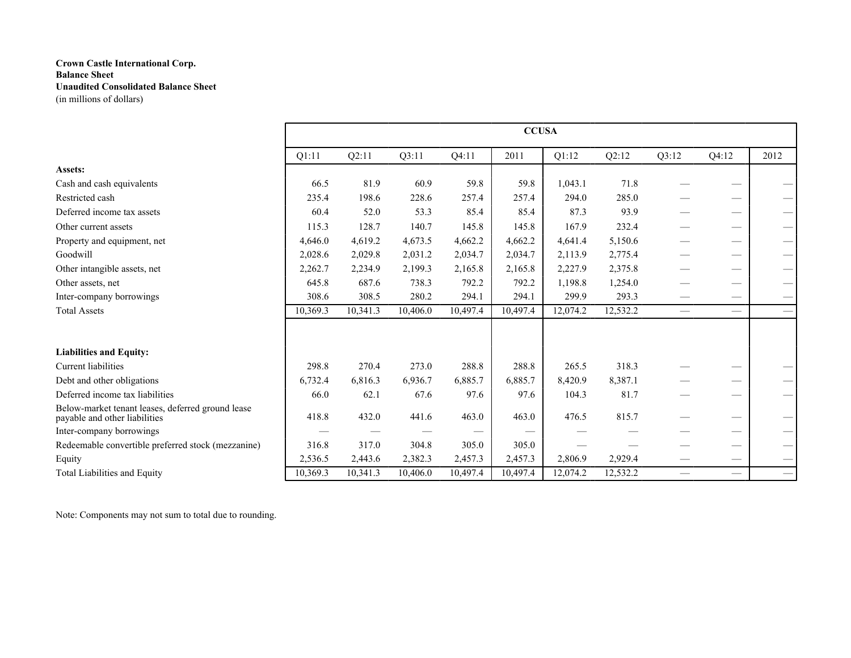|                                                                                    |          |          |          |          | <b>CCUSA</b> |          |          |                          |                   |                                         |
|------------------------------------------------------------------------------------|----------|----------|----------|----------|--------------|----------|----------|--------------------------|-------------------|-----------------------------------------|
|                                                                                    | Q1:11    | Q2:11    | Q3:11    | Q4:11    | 2011         | Q1:12    | Q2:12    | Q3:12                    | Q4:12             | 2012                                    |
| Assets:                                                                            |          |          |          |          |              |          |          |                          |                   |                                         |
| Cash and cash equivalents                                                          | 66.5     | 81.9     | 60.9     | 59.8     | 59.8         | 1,043.1  | 71.8     |                          |                   |                                         |
| Restricted cash                                                                    | 235.4    | 198.6    | 228.6    | 257.4    | 257.4        | 294.0    | 285.0    |                          |                   |                                         |
| Deferred income tax assets                                                         | 60.4     | 52.0     | 53.3     | 85.4     | 85.4         | 87.3     | 93.9     |                          |                   | $\qquad \qquad$                         |
| Other current assets                                                               | 115.3    | 128.7    | 140.7    | 145.8    | 145.8        | 167.9    | 232.4    |                          |                   |                                         |
| Property and equipment, net                                                        | 4,646.0  | 4,619.2  | 4,673.5  | 4,662.2  | 4,662.2      | 4,641.4  | 5,150.6  |                          |                   | $\qquad \qquad$                         |
| Goodwill                                                                           | 2,028.6  | 2,029.8  | 2,031.2  | 2,034.7  | 2,034.7      | 2,113.9  | 2,775.4  |                          |                   |                                         |
| Other intangible assets, net                                                       | 2,262.7  | 2,234.9  | 2,199.3  | 2,165.8  | 2,165.8      | 2,227.9  | 2,375.8  |                          |                   | $\overbrace{\phantom{13333}}$           |
| Other assets, net                                                                  | 645.8    | 687.6    | 738.3    | 792.2    | 792.2        | 1,198.8  | 1,254.0  |                          |                   | $\qquad \qquad$                         |
| Inter-company borrowings                                                           | 308.6    | 308.5    | 280.2    | 294.1    | 294.1        | 299.9    | 293.3    |                          |                   | $\hspace{0.1mm}-\hspace{0.1mm}$         |
| <b>Total Assets</b>                                                                | 10,369.3 | 10,341.3 | 10,406.0 | 10,497.4 | 10.497.4     | 12,074.2 | 12,532.2 |                          | $\hspace{0.05cm}$ | $\overline{\phantom{m}}$                |
|                                                                                    |          |          |          |          |              |          |          |                          |                   |                                         |
| <b>Liabilities and Equity:</b>                                                     |          |          |          |          |              |          |          |                          |                   |                                         |
| Current liabilities                                                                | 298.8    | 270.4    | 273.0    | 288.8    | 288.8        | 265.5    | 318.3    |                          |                   |                                         |
| Debt and other obligations                                                         | 6,732.4  | 6,816.3  | 6,936.7  | 6,885.7  | 6,885.7      | 8,420.9  | 8,387.1  |                          |                   | $\qquad \qquad$                         |
| Deferred income tax liabilities                                                    | 66.0     | 62.1     | 67.6     | 97.6     | 97.6         | 104.3    | 81.7     |                          |                   | $\hspace{1.0cm} \overline{\phantom{0}}$ |
| Below-market tenant leases, deferred ground lease<br>payable and other liabilities | 418.8    | 432.0    | 441.6    | 463.0    | 463.0        | 476.5    | 815.7    |                          |                   |                                         |
| Inter-company borrowings                                                           |          |          |          |          |              |          |          |                          |                   |                                         |
| Redeemable convertible preferred stock (mezzanine)                                 | 316.8    | 317.0    | 304.8    | 305.0    | 305.0        |          |          |                          |                   |                                         |
| Equity                                                                             | 2,536.5  | 2,443.6  | 2,382.3  | 2,457.3  | 2,457.3      | 2,806.9  | 2,929.4  |                          |                   | $\overline{\phantom{0}}$                |
| Total Liabilities and Equity                                                       | 10,369.3 | 10,341.3 | 10,406.0 | 10,497.4 | 10,497.4     | 12,074.2 | 12,532.2 | $\overline{\phantom{0}}$ |                   | $\overbrace{\phantom{13333}}$           |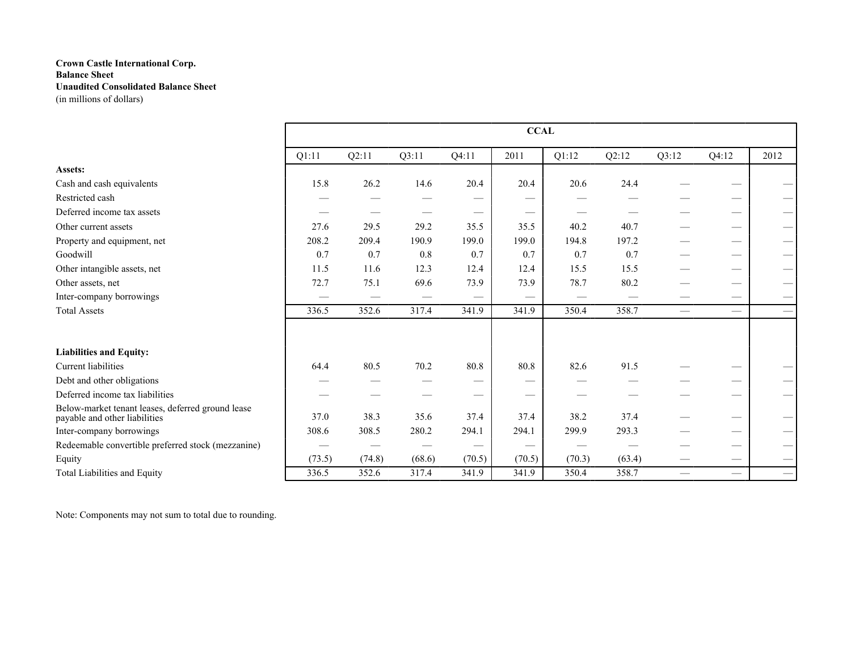|                                                                                    |        |        |        |        | <b>CCAL</b> |        |        |                          |                               |      |
|------------------------------------------------------------------------------------|--------|--------|--------|--------|-------------|--------|--------|--------------------------|-------------------------------|------|
|                                                                                    | Q1:11  | Q2:11  | Q3:11  | Q4:11  | 2011        | Q1:12  | Q2:12  | Q3:12                    | Q4:12                         | 2012 |
| Assets:                                                                            |        |        |        |        |             |        |        |                          |                               |      |
| Cash and cash equivalents                                                          | 15.8   | 26.2   | 14.6   | 20.4   | 20.4        | 20.6   | 24.4   |                          |                               |      |
| Restricted cash                                                                    |        |        |        |        | --          |        |        |                          |                               |      |
| Deferred income tax assets                                                         |        |        |        |        |             |        |        |                          |                               |      |
| Other current assets                                                               | 27.6   | 29.5   | 29.2   | 35.5   | 35.5        | 40.2   | 40.7   |                          |                               |      |
| Property and equipment, net                                                        | 208.2  | 209.4  | 190.9  | 199.0  | 199.0       | 194.8  | 197.2  |                          |                               |      |
| Goodwill                                                                           | 0.7    | 0.7    | 0.8    | 0.7    | 0.7         | 0.7    | 0.7    |                          |                               |      |
| Other intangible assets, net                                                       | 11.5   | 11.6   | 12.3   | 12.4   | 12.4        | 15.5   | 15.5   |                          |                               |      |
| Other assets, net                                                                  | 72.7   | 75.1   | 69.6   | 73.9   | 73.9        | 78.7   | 80.2   |                          |                               |      |
| Inter-company borrowings                                                           |        |        |        |        |             |        |        |                          |                               |      |
| <b>Total Assets</b>                                                                | 336.5  | 352.6  | 317.4  | 341.9  | 341.9       | 350.4  | 358.7  | $\overline{\phantom{m}}$ | $\overbrace{\phantom{12332}}$ |      |
|                                                                                    |        |        |        |        |             |        |        |                          |                               |      |
| <b>Liabilities and Equity:</b>                                                     |        |        |        |        |             |        |        |                          |                               |      |
| Current liabilities                                                                | 64.4   | 80.5   | 70.2   | 80.8   | 80.8        | 82.6   | 91.5   |                          |                               |      |
| Debt and other obligations                                                         |        |        |        |        | --          |        |        |                          |                               |      |
| Deferred income tax liabilities                                                    |        |        |        |        |             |        |        |                          |                               |      |
| Below-market tenant leases, deferred ground lease<br>payable and other liabilities | 37.0   | 38.3   | 35.6   | 37.4   | 37.4        | 38.2   | 37.4   |                          |                               |      |
| Inter-company borrowings                                                           | 308.6  | 308.5  | 280.2  | 294.1  | 294.1       | 299.9  | 293.3  |                          |                               |      |
| Redeemable convertible preferred stock (mezzanine)                                 |        |        |        |        |             |        |        |                          |                               |      |
| Equity                                                                             | (73.5) | (74.8) | (68.6) | (70.5) | (70.5)      | (70.3) | (63.4) |                          |                               |      |
| Total Liabilities and Equity                                                       | 336.5  | 352.6  | 317.4  | 341.9  | 341.9       | 350.4  | 358.7  |                          |                               |      |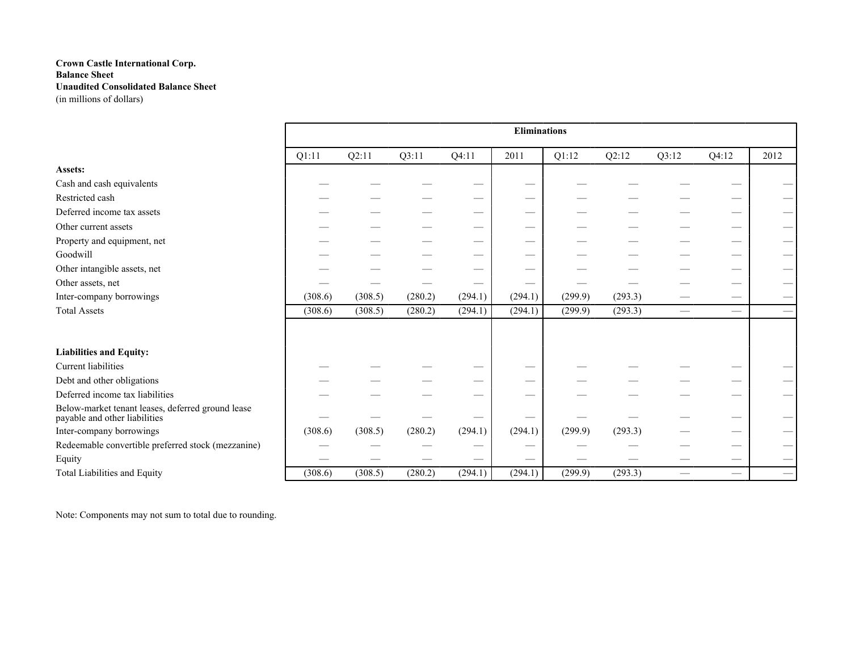| <b>Eliminations</b><br>Q2:11<br>Q1:12<br>Q2:12<br>Q1:11<br>Q3:11<br>Q4:11<br>2011<br>Q3:12<br>Q4:12<br>Assets:<br>Cash and cash equivalents<br>_<br>Restricted cash<br>Deferred income tax assets | 2012 |
|---------------------------------------------------------------------------------------------------------------------------------------------------------------------------------------------------|------|
|                                                                                                                                                                                                   |      |
|                                                                                                                                                                                                   |      |
|                                                                                                                                                                                                   |      |
|                                                                                                                                                                                                   |      |
|                                                                                                                                                                                                   |      |
|                                                                                                                                                                                                   |      |
| Other current assets<br>–                                                                                                                                                                         |      |
| Property and equipment, net                                                                                                                                                                       |      |
| Goodwill<br>--                                                                                                                                                                                    |      |
| Other intangible assets, net<br>--                                                                                                                                                                |      |
| Other assets, net                                                                                                                                                                                 |      |
| (280.2)<br>(294.1)<br>(294.1)<br>Inter-company borrowings<br>(308.6)<br>(308.5)<br>(299.9)<br>(293.3)                                                                                             |      |
| <b>Total Assets</b><br>(294.1)<br>(293.3)<br>(308.6)<br>(308.5)<br>(280.2)<br>(294.1)<br>(299.9)<br>$\hspace{0.05cm}$                                                                             |      |
|                                                                                                                                                                                                   |      |
| <b>Liabilities and Equity:</b>                                                                                                                                                                    |      |
| Current liabilities<br>_                                                                                                                                                                          |      |
| Debt and other obligations<br>_                                                                                                                                                                   |      |
| Deferred income tax liabilities<br>--                                                                                                                                                             |      |
| Below-market tenant leases, deferred ground lease<br>payable and other liabilities                                                                                                                |      |
| Inter-company borrowings<br>(308.5)<br>(280.2)<br>(294.1)<br>(294.1)<br>(299.9)<br>(293.3)<br>(308.6)                                                                                             |      |
| Redeemable convertible preferred stock (mezzanine)<br>_                                                                                                                                           |      |
| Equity                                                                                                                                                                                            |      |
| Total Liabilities and Equity<br>(280.2)<br>(294.1)<br>(308.6)<br>(308.5)<br>(294.1)<br>(299.9)<br>(293.3)<br>$\hspace{0.05cm}$                                                                    |      |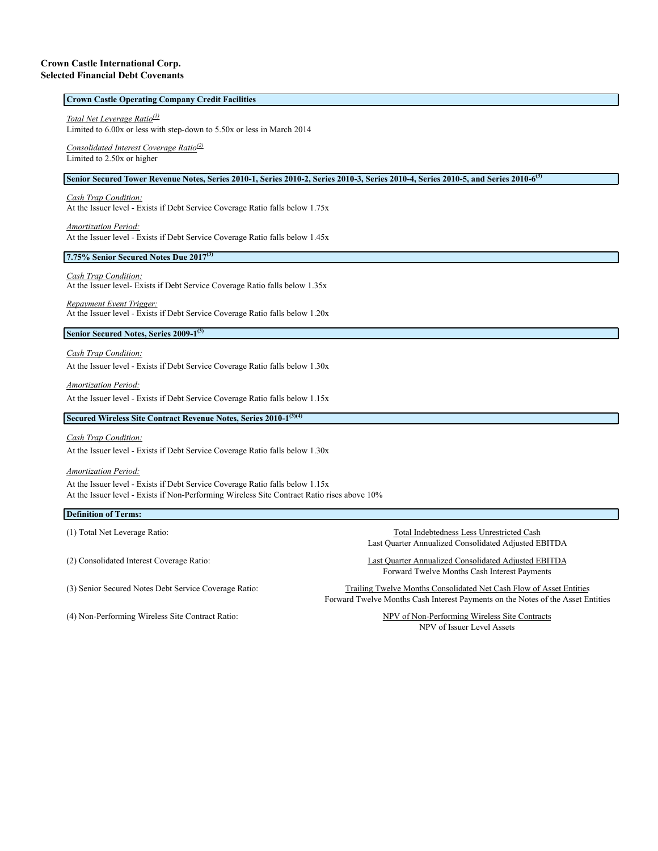#### **Crown Castle Operating Company Credit Facilities**

### *Total Net Leverage Ratio(1)*

Limited to 6.00x or less with step-down to 5.50x or less in March 2014

# *Consolidated Interest Coverage Ratio(2)*

Limited to 2.50x or higher

#### **Senior Secured Tower Revenue Notes, Series 2010-1, Series 2010-2, Series 2010-3, Series 2010-4, Series 2010-5, and Series 2010-6(3)**

#### *Cash Trap Condition:*

At the Issuer level - Exists if Debt Service Coverage Ratio falls below 1.75x

#### *Amortization Period:*

At the Issuer level - Exists if Debt Service Coverage Ratio falls below 1.45x

### **7.75% Senior Secured Notes Due 2017(3)**

#### *Cash Trap Condition:*

At the Issuer level- Exists if Debt Service Coverage Ratio falls below 1.35x

# *Repayment Event Trigger:*

At the Issuer level - Exists if Debt Service Coverage Ratio falls below 1.20x

### **Senior Secured Notes, Series 2009-1(3)**

### *Cash Trap Condition:*

At the Issuer level - Exists if Debt Service Coverage Ratio falls below 1.30x

#### *Amortization Period:*

At the Issuer level - Exists if Debt Service Coverage Ratio falls below 1.15x

# **Secured Wireless Site Contract Revenue Notes, Series 2010-1(3)(4)**

## *Cash Trap Condition:* At the Issuer level - Exists if Debt Service Coverage Ratio falls below 1.30x

#### *Amortization Period:*

At the Issuer level - Exists if Debt Service Coverage Ratio falls below 1.15x At the Issuer level - Exists if Non-Performing Wireless Site Contract Ratio rises above 10%

### **Definition of Terms:**

(4) Non-Performing Wireless Site Contract Ratio: NPV of Non-Performing Wireless Site Contracts

(1) Total Net Leverage Ratio: Total Indebtedness Less Unrestricted Cash Last Quarter Annualized Consolidated Adjusted EBITDA

(2) Consolidated Interest Coverage Ratio: Last Quarter Annualized Consolidated Adjusted EBITDA Forward Twelve Months Cash Interest Payments

(3) Senior Secured Notes Debt Service Coverage Ratio: Trailing Twelve Months Consolidated Net Cash Flow of Asset Entities Forward Twelve Months Cash Interest Payments on the Notes of the Asset Entities

NPV of Issuer Level Assets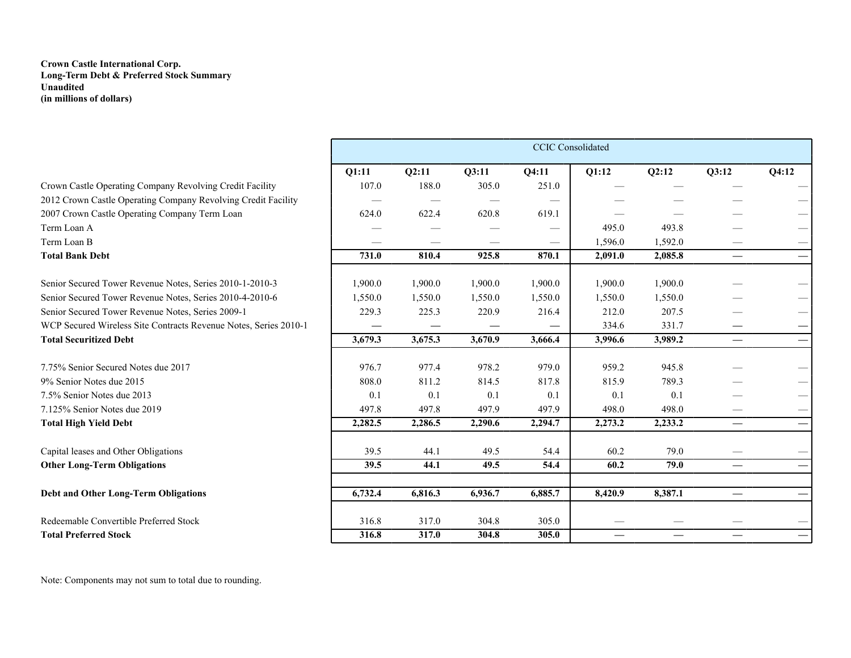# **Crown Castle International Corp. Long-Term Debt & Preferred Stock Summary Unaudited (in millions of dollars)**

|                                                                  |         |         |         | <b>CCIC</b> Consolidated |                                 |                          |                                 |       |
|------------------------------------------------------------------|---------|---------|---------|--------------------------|---------------------------------|--------------------------|---------------------------------|-------|
|                                                                  | Q1:11   | 02:11   | 03:11   | <b>O4:11</b>             | Q1:12                           | <b>O2:12</b>             | Q3:12                           | Q4:12 |
| Crown Castle Operating Company Revolving Credit Facility         | 107.0   | 188.0   | 305.0   | 251.0                    |                                 |                          |                                 |       |
| 2012 Crown Castle Operating Company Revolving Credit Facility    |         |         |         |                          |                                 |                          |                                 |       |
| 2007 Crown Castle Operating Company Term Loan                    | 624.0   | 622.4   | 620.8   | 619.1                    |                                 |                          |                                 |       |
| Term Loan A                                                      |         |         |         |                          | 495.0                           | 493.8                    |                                 |       |
| Term Loan B                                                      |         |         |         |                          | 1,596.0                         | 1,592.0                  |                                 |       |
| <b>Total Bank Debt</b>                                           | 731.0   | 810.4   | 925.8   | 870.1                    | 2,091.0                         | 2,085.8                  |                                 |       |
| Senior Secured Tower Revenue Notes, Series 2010-1-2010-3         | 1,900.0 | 1,900.0 | 1,900.0 | 1,900.0                  | 1,900.0                         | 1,900.0                  |                                 |       |
| Senior Secured Tower Revenue Notes, Series 2010-4-2010-6         | 1,550.0 | 1,550.0 | 1,550.0 | 1,550.0                  | 1,550.0                         | 1,550.0                  |                                 |       |
| Senior Secured Tower Revenue Notes, Series 2009-1                | 229.3   | 225.3   | 220.9   | 216.4                    | 212.0                           | 207.5                    |                                 |       |
| WCP Secured Wireless Site Contracts Revenue Notes, Series 2010-1 |         |         |         |                          | 334.6                           | 331.7                    |                                 |       |
| <b>Total Securitized Debt</b>                                    | 3,679.3 | 3,675.3 | 3,670.9 | 3,666.4                  | 3,996.6                         | 3,989.2                  | $\overbrace{\phantom{13333}}$   |       |
| 7.75% Senior Secured Notes due 2017                              | 976.7   | 977.4   | 978.2   | 979.0                    | 959.2                           | 945.8                    |                                 |       |
| 9% Senior Notes due 2015                                         | 808.0   | 811.2   | 814.5   | 817.8                    | 815.9                           | 789.3                    |                                 |       |
| 7.5% Senior Notes due 2013                                       | 0.1     | 0.1     | 0.1     | 0.1                      | 0.1                             | 0.1                      |                                 |       |
| 7.125% Senior Notes due 2019                                     | 497.8   | 497.8   | 497.9   | 497.9                    | 498.0                           | 498.0                    |                                 |       |
| <b>Total High Yield Debt</b>                                     | 2,282.5 | 2,286.5 | 2,290.6 | 2,294.7                  | 2,273.2                         | 2,233.2                  | $\hspace{0.05cm}$               |       |
| Capital leases and Other Obligations                             | 39.5    | 44.1    | 49.5    | 54.4                     | 60.2                            | 79.0                     |                                 |       |
| <b>Other Long-Term Obligations</b>                               | 39.5    | 44.1    | 49.5    | 54.4                     | 60.2                            | 79.0                     | $\qquad \qquad -$               |       |
| <b>Debt and Other Long-Term Obligations</b>                      | 6,732.4 | 6,816.3 | 6,936.7 | 6,885.7                  | 8,420.9                         | 8,387.1                  |                                 |       |
| Redeemable Convertible Preferred Stock                           | 316.8   | 317.0   | 304.8   | 305.0                    |                                 |                          |                                 |       |
| <b>Total Preferred Stock</b>                                     | 316.8   | 317.0   | 304.8   | 305.0                    | $\hspace{0.1mm}-\hspace{0.1mm}$ | $\overline{\phantom{0}}$ | $\hspace{0.1mm}-\hspace{0.1mm}$ |       |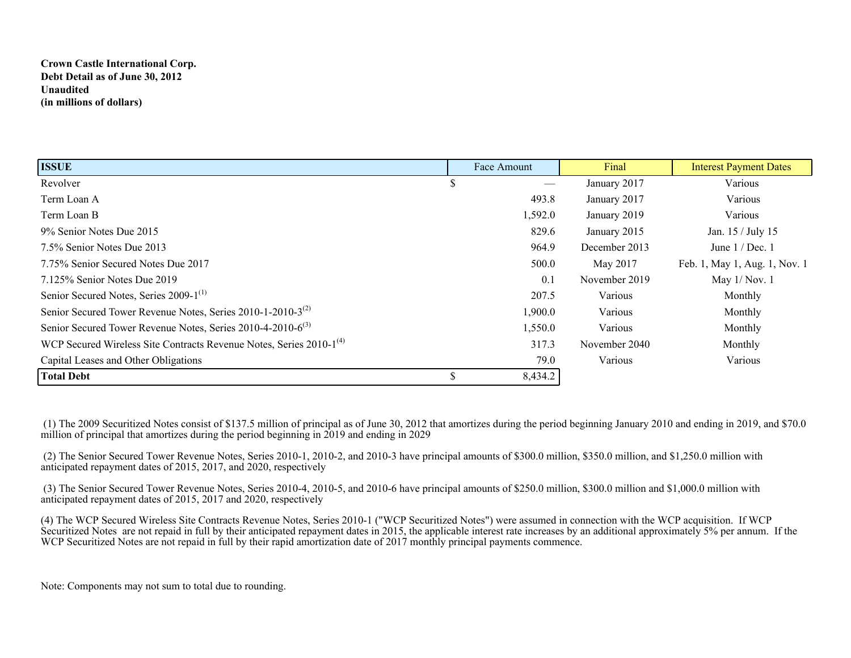# **Crown Castle International Corp. Debt Detail as of June 30, 2012 Unaudited (in millions of dollars)**

| <b>ISSUE</b>                                                                    |   | Face Amount | Final         | <b>Interest Payment Dates</b> |
|---------------------------------------------------------------------------------|---|-------------|---------------|-------------------------------|
| Revolver                                                                        | Ъ |             | January 2017  | Various                       |
| Term Loan A                                                                     |   | 493.8       | January 2017  | Various                       |
| Term Loan B                                                                     |   | 1,592.0     | January 2019  | Various                       |
| 9% Senior Notes Due 2015                                                        |   | 829.6       | January 2015  | Jan. 15 / July 15             |
| 7.5% Senior Notes Due 2013                                                      |   | 964.9       | December 2013 | June $1/Dec.1$                |
| 7.75% Senior Secured Notes Due 2017                                             |   | 500.0       | May 2017      | Feb. 1, May 1, Aug. 1, Nov. 1 |
| 7.125% Senior Notes Due 2019                                                    |   | 0.1         | November 2019 | May $1/Nov. 1$                |
| Senior Secured Notes, Series 2009-1 <sup>(1)</sup>                              |   | 207.5       | Various       | Monthly                       |
| Senior Secured Tower Revenue Notes, Series 2010-1-2010-3 <sup>(2)</sup>         |   | 1,900.0     | Various       | Monthly                       |
| Senior Secured Tower Revenue Notes, Series 2010-4-2010-6 <sup>(3)</sup>         |   | 1,550.0     | Various       | Monthly                       |
| WCP Secured Wireless Site Contracts Revenue Notes, Series 2010-1 <sup>(4)</sup> |   | 317.3       | November 2040 | Monthly                       |
| Capital Leases and Other Obligations                                            |   | 79.0        | Various       | Various                       |
| <b>Total Debt</b>                                                               |   | 8,434.2     |               |                               |

 (1) The 2009 Securitized Notes consist of \$137.5 million of principal as of June 30, 2012 that amortizes during the period beginning January 2010 and ending in 2019, and \$70.0 million of principal that amortizes during the period beginning in 2019 and ending in 2029

 (2) The Senior Secured Tower Revenue Notes, Series 2010-1, 2010-2, and 2010-3 have principal amounts of \$300.0 million, \$350.0 million, and \$1,250.0 million with anticipated repayment dates of 2015, 2017, and 2020, respectively

 (3) The Senior Secured Tower Revenue Notes, Series 2010-4, 2010-5, and 2010-6 have principal amounts of \$250.0 million, \$300.0 million and \$1,000.0 million with anticipated repayment dates of 2015, 2017 and 2020, respectively

(4) The WCP Secured Wireless Site Contracts Revenue Notes, Series 2010-1 ("WCP Securitized Notes") were assumed in connection with the WCP acquisition. If WCP Securitized Notes are not repaid in full by their anticipated repayment dates in 2015, the applicable interest rate increases by an additional approximately 5% per annum. If the WCP Securitized Notes are not repaid in full by their rapid amortization date of 2017 monthly principal payments commence.